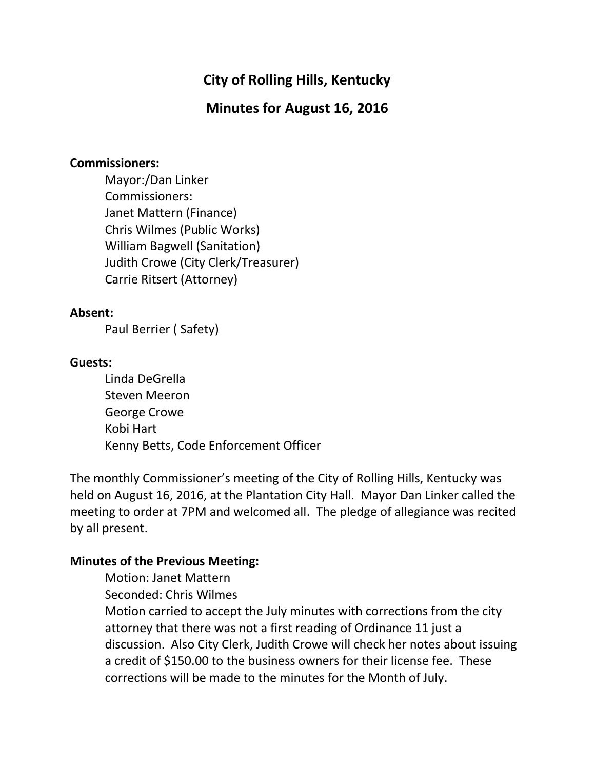# City of Rolling Hills, Kentucky

# Minutes for August 16, 2016

#### Commissioners:

 Mayor:/Dan Linker Commissioners: Janet Mattern (Finance) Chris Wilmes (Public Works) William Bagwell (Sanitation) Judith Crowe (City Clerk/Treasurer) Carrie Ritsert (Attorney)

#### Absent:

Paul Berrier ( Safety)

#### Guests:

 Linda DeGrella Steven Meeron George Crowe Kobi Hart Kenny Betts, Code Enforcement Officer

The monthly Commissioner's meeting of the City of Rolling Hills, Kentucky was held on August 16, 2016, at the Plantation City Hall. Mayor Dan Linker called the meeting to order at 7PM and welcomed all. The pledge of allegiance was recited by all present.

### Minutes of the Previous Meeting:

Motion: Janet Mattern

Seconded: Chris Wilmes

Motion carried to accept the July minutes with corrections from the city attorney that there was not a first reading of Ordinance 11 just a discussion. Also City Clerk, Judith Crowe will check her notes about issuing a credit of \$150.00 to the business owners for their license fee. These corrections will be made to the minutes for the Month of July.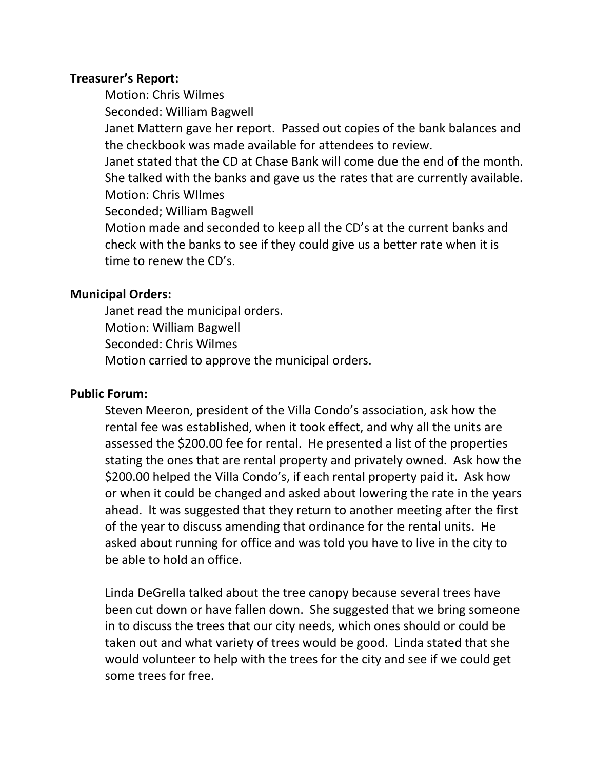### Treasurer's Report:

Motion: Chris Wilmes

Seconded: William Bagwell

Janet Mattern gave her report. Passed out copies of the bank balances and the checkbook was made available for attendees to review.

Janet stated that the CD at Chase Bank will come due the end of the month. She talked with the banks and gave us the rates that are currently available. Motion: Chris WIlmes

Seconded; William Bagwell

Motion made and seconded to keep all the CD's at the current banks and check with the banks to see if they could give us a better rate when it is time to renew the CD's.

## Municipal Orders:

 Janet read the municipal orders. Motion: William Bagwell Seconded: Chris Wilmes Motion carried to approve the municipal orders.

## Public Forum:

Steven Meeron, president of the Villa Condo's association, ask how the rental fee was established, when it took effect, and why all the units are assessed the \$200.00 fee for rental. He presented a list of the properties stating the ones that are rental property and privately owned. Ask how the \$200.00 helped the Villa Condo's, if each rental property paid it. Ask how or when it could be changed and asked about lowering the rate in the years ahead. It was suggested that they return to another meeting after the first of the year to discuss amending that ordinance for the rental units. He asked about running for office and was told you have to live in the city to be able to hold an office.

Linda DeGrella talked about the tree canopy because several trees have been cut down or have fallen down. She suggested that we bring someone in to discuss the trees that our city needs, which ones should or could be taken out and what variety of trees would be good. Linda stated that she would volunteer to help with the trees for the city and see if we could get some trees for free.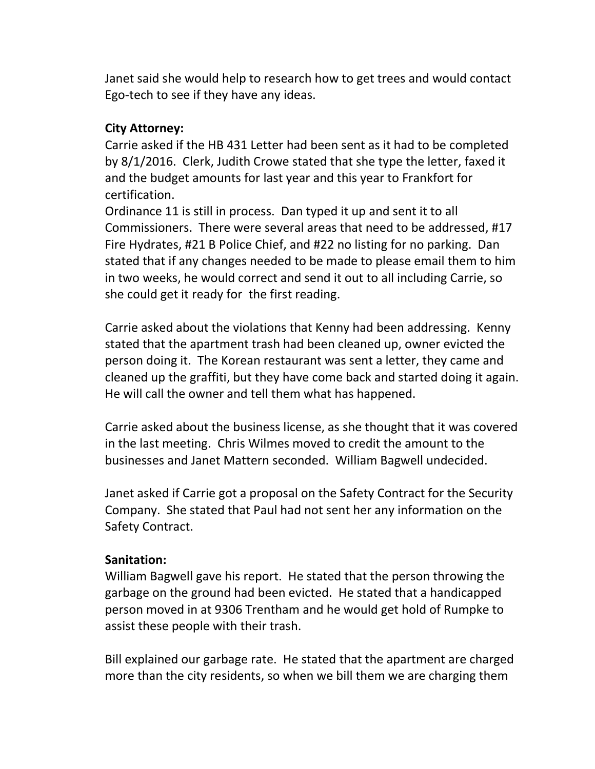Janet said she would help to research how to get trees and would contact Ego-tech to see if they have any ideas.

### City Attorney:

Carrie asked if the HB 431 Letter had been sent as it had to be completed by 8/1/2016. Clerk, Judith Crowe stated that she type the letter, faxed it and the budget amounts for last year and this year to Frankfort for certification.

Ordinance 11 is still in process. Dan typed it up and sent it to all Commissioners. There were several areas that need to be addressed, #17 Fire Hydrates, #21 B Police Chief, and #22 no listing for no parking. Dan stated that if any changes needed to be made to please email them to him in two weeks, he would correct and send it out to all including Carrie, so she could get it ready for the first reading.

Carrie asked about the violations that Kenny had been addressing. Kenny stated that the apartment trash had been cleaned up, owner evicted the person doing it. The Korean restaurant was sent a letter, they came and cleaned up the graffiti, but they have come back and started doing it again. He will call the owner and tell them what has happened.

Carrie asked about the business license, as she thought that it was covered in the last meeting. Chris Wilmes moved to credit the amount to the businesses and Janet Mattern seconded. William Bagwell undecided.

Janet asked if Carrie got a proposal on the Safety Contract for the Security Company. She stated that Paul had not sent her any information on the Safety Contract.

### Sanitation:

William Bagwell gave his report. He stated that the person throwing the garbage on the ground had been evicted. He stated that a handicapped person moved in at 9306 Trentham and he would get hold of Rumpke to assist these people with their trash.

Bill explained our garbage rate. He stated that the apartment are charged more than the city residents, so when we bill them we are charging them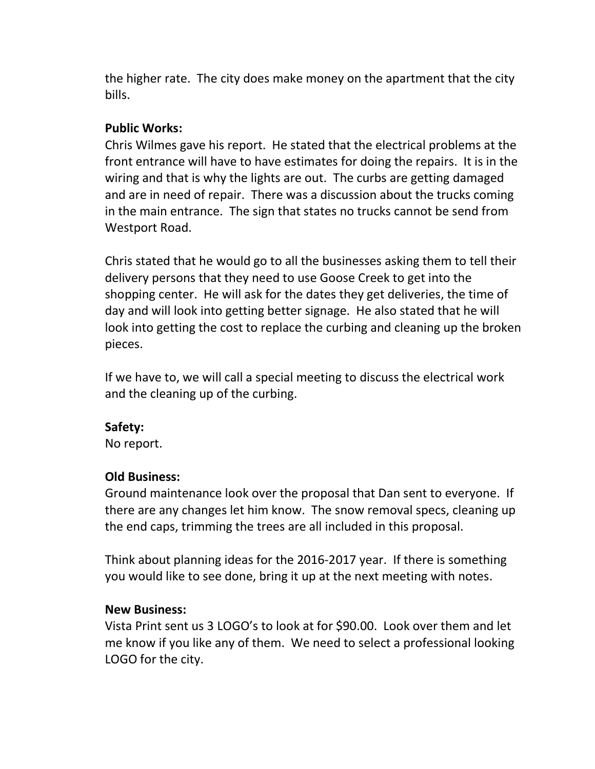the higher rate. The city does make money on the apartment that the city bills.

### Public Works:

Chris Wilmes gave his report. He stated that the electrical problems at the front entrance will have to have estimates for doing the repairs. It is in the wiring and that is why the lights are out. The curbs are getting damaged and are in need of repair. There was a discussion about the trucks coming in the main entrance. The sign that states no trucks cannot be send from Westport Road.

Chris stated that he would go to all the businesses asking them to tell their delivery persons that they need to use Goose Creek to get into the shopping center. He will ask for the dates they get deliveries, the time of day and will look into getting better signage. He also stated that he will look into getting the cost to replace the curbing and cleaning up the broken pieces.

If we have to, we will call a special meeting to discuss the electrical work and the cleaning up of the curbing.

### Safety:

No report.

### Old Business:

Ground maintenance look over the proposal that Dan sent to everyone. If there are any changes let him know. The snow removal specs, cleaning up the end caps, trimming the trees are all included in this proposal.

Think about planning ideas for the 2016-2017 year. If there is something you would like to see done, bring it up at the next meeting with notes.

### New Business:

Vista Print sent us 3 LOGO's to look at for \$90.00. Look over them and let me know if you like any of them. We need to select a professional looking LOGO for the city.